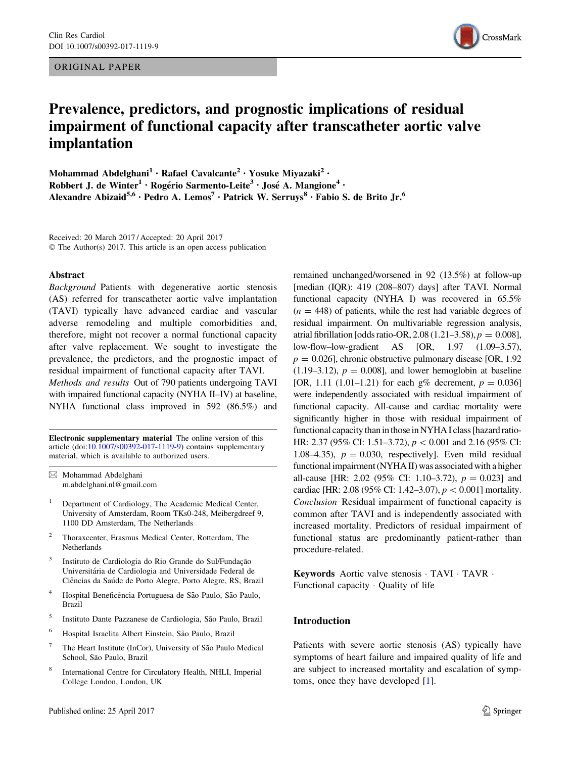ORIGINAL PAPER



# Prevalence, predictors, and prognostic implications of residual impairment of functional capacity after transcatheter aortic valve implantation

Mohammad Abdelghani<sup>1</sup> · Rafael Cavalcante<sup>2</sup> · Yosuke Miyazaki<sup>2</sup> · Robbert J. de Winter<sup>1</sup> · Rogério Sarmento-Leite<sup>3</sup> · José A. Mangione<sup>4</sup> · Alexandre Abizaid<sup>5,6</sup> · Pedro A. Lemos<sup>7</sup> · Patrick W. Serruys<sup>8</sup> · Fabio S. de Brito Jr.<sup>6</sup>

Received: 20 March 2017 / Accepted: 20 April 2017 © The Author(s) 2017. This article is an open access publication

#### Abstract

Background Patients with degenerative aortic stenosis (AS) referred for transcatheter aortic valve implantation (TAVI) typically have advanced cardiac and vascular adverse remodeling and multiple comorbidities and, therefore, might not recover a normal functional capacity after valve replacement. We sought to investigate the prevalence, the predictors, and the prognostic impact of residual impairment of functional capacity after TAVI. Methods and results Out of 790 patients undergoing TAVI with impaired functional capacity (NYHA II–IV) at baseline, NYHA functional class improved in 592 (86.5%) and

Electronic supplementary material The online version of this article (doi:[10.1007/s00392-017-1119-9\)](http://dx.doi.org/10.1007/s00392-017-1119-9) contains supplementary material, which is available to authorized users.

 $\boxtimes$  Mohammad Abdelghani m.abdelghani.nl@gmail.com

- <sup>1</sup> Department of Cardiology, The Academic Medical Center, University of Amsterdam, Room TKs0-248, Meibergdreef 9, 1100 DD Amsterdam, The Netherlands
- <sup>2</sup> Thoraxcenter, Erasmus Medical Center, Rotterdam, The Netherlands
- Instituto de Cardiologia do Rio Grande do Sul/Fundação Universitária de Cardiologia and Universidade Federal de Ciências da Saúde de Porto Alegre, Porto Alegre, RS, Brazil
- <sup>4</sup> Hospital Beneficência Portuguesa de São Paulo, São Paulo, Brazil
- <sup>5</sup> Instituto Dante Pazzanese de Cardiologia, São Paulo, Brazil
- <sup>6</sup> Hospital Israelita Albert Einstein, São Paulo, Brazil
- The Heart Institute (InCor), University of São Paulo Medical School, São Paulo, Brazil
- <sup>8</sup> International Centre for Circulatory Health, NHLI, Imperial College London, London, UK

remained unchanged/worsened in 92 (13.5%) at follow-up [median (IQR): 419 (208–807) days] after TAVI. Normal functional capacity (NYHA I) was recovered in 65.5%  $(n = 448)$  of patients, while the rest had variable degrees of residual impairment. On multivariable regression analysis, atrial fibrillation [odds ratio-OR, 2.08 (1.21–3.58),  $p = 0.008$ ], low-flow–low-gradient AS [OR, 1.97 (1.09–3.57),  $p = 0.026$ , chronic obstructive pulmonary disease [OR, 1.92]  $(1.19-3.12)$ ,  $p = 0.008$ , and lower hemoglobin at baseline [OR, 1.11 (1.01–1.21) for each g% decrement,  $p = 0.036$ ] were independently associated with residual impairment of functional capacity. All-cause and cardiac mortality were significantly higher in those with residual impairment of functional capacity than in those in NYHA I class [hazard ratio-HR: 2.37 (95% CI: 1.51–3.72),  $p < 0.001$  and 2.16 (95% CI: 1.08–4.35),  $p = 0.030$ , respectively]. Even mild residual functional impairment (NYHA II) was associated with a higher all-cause [HR: 2.02 (95% CI: 1.10–3.72),  $p = 0.023$ ] and cardiac [HR: 2.08 (95% CI: 1.42–3.07),  $p < 0.001$ ] mortality. Conclusion Residual impairment of functional capacity is common after TAVI and is independently associated with increased mortality. Predictors of residual impairment of functional status are predominantly patient-rather than procedure-related.

Keywords Aortic valve stenosis · TAVI · TAVR · Functional capacity - Quality of life

## Introduction

Patients with severe aortic stenosis (AS) typically have symptoms of heart failure and impaired quality of life and are subject to increased mortality and escalation of symptoms, once they have developed [\[1](#page-6-0)].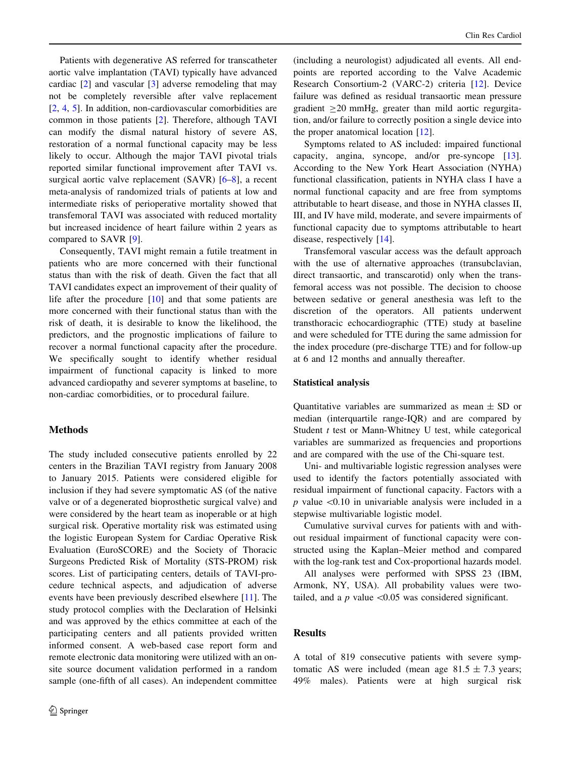Patients with degenerative AS referred for transcatheter aortic valve implantation (TAVI) typically have advanced cardiac [\[2](#page-6-0)] and vascular [[3\]](#page-7-0) adverse remodeling that may not be completely reversible after valve replacement [\[2](#page-6-0), [4,](#page-7-0) [5](#page-7-0)]. In addition, non-cardiovascular comorbidities are common in those patients [\[2](#page-6-0)]. Therefore, although TAVI can modify the dismal natural history of severe AS, restoration of a normal functional capacity may be less likely to occur. Although the major TAVI pivotal trials reported similar functional improvement after TAVI vs. surgical aortic valve replacement (SAVR) [[6–8\]](#page-7-0), a recent meta-analysis of randomized trials of patients at low and intermediate risks of perioperative mortality showed that transfemoral TAVI was associated with reduced mortality but increased incidence of heart failure within 2 years as compared to SAVR [\[9](#page-7-0)].

Consequently, TAVI might remain a futile treatment in patients who are more concerned with their functional status than with the risk of death. Given the fact that all TAVI candidates expect an improvement of their quality of life after the procedure [[10\]](#page-7-0) and that some patients are more concerned with their functional status than with the risk of death, it is desirable to know the likelihood, the predictors, and the prognostic implications of failure to recover a normal functional capacity after the procedure. We specifically sought to identify whether residual impairment of functional capacity is linked to more advanced cardiopathy and severer symptoms at baseline, to non-cardiac comorbidities, or to procedural failure.

# **Methods**

The study included consecutive patients enrolled by 22 centers in the Brazilian TAVI registry from January 2008 to January 2015. Patients were considered eligible for inclusion if they had severe symptomatic AS (of the native valve or of a degenerated bioprosthetic surgical valve) and were considered by the heart team as inoperable or at high surgical risk. Operative mortality risk was estimated using the logistic European System for Cardiac Operative Risk Evaluation (EuroSCORE) and the Society of Thoracic Surgeons Predicted Risk of Mortality (STS-PROM) risk scores. List of participating centers, details of TAVI-procedure technical aspects, and adjudication of adverse events have been previously described elsewhere [[11\]](#page-7-0). The study protocol complies with the Declaration of Helsinki and was approved by the ethics committee at each of the participating centers and all patients provided written informed consent. A web-based case report form and remote electronic data monitoring were utilized with an onsite source document validation performed in a random sample (one-fifth of all cases). An independent committee

(including a neurologist) adjudicated all events. All endpoints are reported according to the Valve Academic Research Consortium-2 (VARC-2) criteria [[12\]](#page-7-0). Device failure was defined as residual transaortic mean pressure gradient  $>20$  mmHg, greater than mild aortic regurgitation, and/or failure to correctly position a single device into the proper anatomical location [[12\]](#page-7-0).

Symptoms related to AS included: impaired functional capacity, angina, syncope, and/or pre-syncope [\[13](#page-7-0)]. According to the New York Heart Association (NYHA) functional classification, patients in NYHA class I have a normal functional capacity and are free from symptoms attributable to heart disease, and those in NYHA classes II, III, and IV have mild, moderate, and severe impairments of functional capacity due to symptoms attributable to heart disease, respectively [[14\]](#page-7-0).

Transfemoral vascular access was the default approach with the use of alternative approaches (transubclavian, direct transaortic, and transcarotid) only when the transfemoral access was not possible. The decision to choose between sedative or general anesthesia was left to the discretion of the operators. All patients underwent transthoracic echocardiographic (TTE) study at baseline and were scheduled for TTE during the same admission for the index procedure (pre-discharge TTE) and for follow-up at 6 and 12 months and annually thereafter.

#### Statistical analysis

Quantitative variables are summarized as mean  $\pm$  SD or median (interquartile range-IQR) and are compared by Student  $t$  test or Mann-Whitney U test, while categorical variables are summarized as frequencies and proportions and are compared with the use of the Chi-square test.

Uni- and multivariable logistic regression analyses were used to identify the factors potentially associated with residual impairment of functional capacity. Factors with a  $p$  value  $\leq 0.10$  in univariable analysis were included in a stepwise multivariable logistic model.

Cumulative survival curves for patients with and without residual impairment of functional capacity were constructed using the Kaplan–Meier method and compared with the log-rank test and Cox-proportional hazards model.

All analyses were performed with SPSS 23 (IBM, Armonk, NY, USA). All probability values were twotailed, and a  $p$  value  $\leq 0.05$  was considered significant.

## Results

A total of 819 consecutive patients with severe symptomatic AS were included (mean age  $81.5 \pm 7.3$  years; 49% males). Patients were at high surgical risk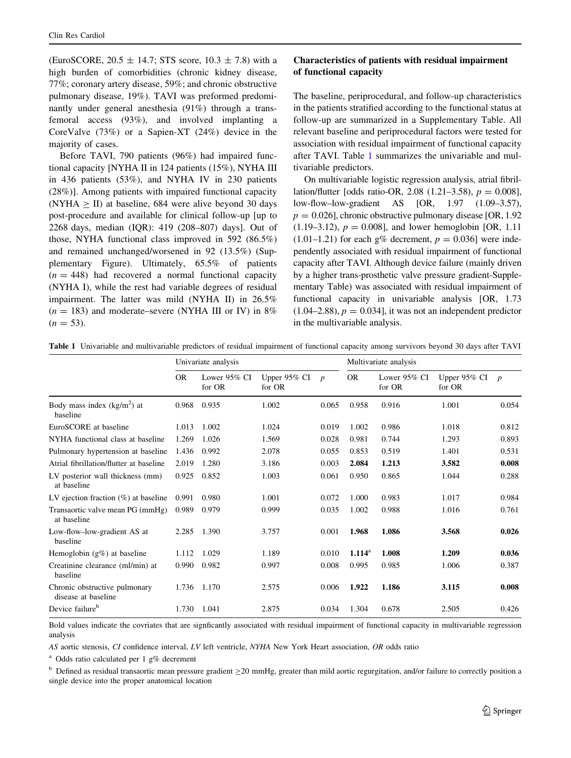(EuroSCORE,  $20.5 \pm 14.7$ ; STS score,  $10.3 \pm 7.8$ ) with a high burden of comorbidities (chronic kidney disease, 77%; coronary artery disease, 59%; and chronic obstructive pulmonary disease, 19%). TAVI was preformed predominantly under general anesthesia (91%) through a transfemoral access (93%), and involved implanting a CoreValve (73%) or a Sapien-XT (24%) device in the majority of cases.

Before TAVI, 790 patients (96%) had impaired functional capacity [NYHA II in 124 patients (15%), NYHA III in 436 patients (53%), and NYHA IV in 230 patients (28%)]. Among patients with impaired functional capacity (NYHA  $\geq$  II) at baseline, 684 were alive beyond 30 days post-procedure and available for clinical follow-up [up to 2268 days, median (IQR): 419 (208–807) days]. Out of those, NYHA functional class improved in 592 (86.5%) and remained unchanged/worsened in 92 (13.5%) (Supplementary Figure). Ultimately, 65.5% of patients  $(n = 448)$  had recovered a normal functional capacity (NYHA I), while the rest had variable degrees of residual impairment. The latter was mild (NYHA II) in 26.5%  $(n = 183)$  and moderate–severe (NYHA III or IV) in 8%  $(n = 53)$ .

# Characteristics of patients with residual impairment of functional capacity

The baseline, periprocedural, and follow-up characteristics in the patients stratified according to the functional status at follow-up are summarized in a Supplementary Table. All relevant baseline and periprocedural factors were tested for association with residual impairment of functional capacity after TAVI. Table 1 summarizes the univariable and multivariable predictors.

On multivariable logistic regression analysis, atrial fibrillation/flutter [odds ratio-OR, 2.08  $(1.21-3.58)$ ,  $p = 0.008$ ], low-flow–low-gradient AS [OR, 1.97 (1.09–3.57),  $p = 0.026$ , chronic obstructive pulmonary disease [OR, 1.92] (1.19–3.12),  $p = 0.008$ ], and lower hemoglobin [OR, 1.11]  $(1.01-1.21)$  for each g% decrement,  $p = 0.036$ ] were independently associated with residual impairment of functional capacity after TAVI. Although device failure (mainly driven by a higher trans-prosthetic valve pressure gradient-Supplementary Table) was associated with residual impairment of functional capacity in univariable analysis [OR, 1.73  $(1.04-2.88), p = 0.034$ , it was not an independent predictor in the multivariable analysis.

| Table 1 Univariable and multivariable predictors of residual impairment of functional capacity among survivors beyond 30 days after TAVI |  |
|------------------------------------------------------------------------------------------------------------------------------------------|--|
|                                                                                                                                          |  |

|                                                      | Univariate analysis |                           |                        |                  | Multivariate analysis |                        |                        |                  |
|------------------------------------------------------|---------------------|---------------------------|------------------------|------------------|-----------------------|------------------------|------------------------|------------------|
|                                                      | <b>OR</b>           | Lower $95\%$ CI<br>for OR | Upper 95% CI<br>for OR | $\boldsymbol{p}$ | <b>OR</b>             | Lower 95% CI<br>for OR | Upper 95% CI<br>for OR | $\boldsymbol{p}$ |
| Body mass index $(kg/m2)$ at<br>baseline             | 0.968               | 0.935                     | 1.002                  | 0.065            | 0.958                 | 0.916                  | 1.001                  | 0.054            |
| EuroSCORE at baseline                                | 1.013               | 1.002                     | 1.024                  | 0.019            | 1.002                 | 0.986                  | 1.018                  | 0.812            |
| NYHA functional class at baseline                    | 1.269               | 1.026                     | 1.569                  | 0.028            | 0.981                 | 0.744                  | 1.293                  | 0.893            |
| Pulmonary hypertension at baseline                   | 1.436               | 0.992                     | 2.078                  | 0.055            | 0.853                 | 0.519                  | 1.401                  | 0.531            |
| Atrial fibrillation/flutter at baseline              | 2.019               | 1.280                     | 3.186                  | 0.003            | 2.084                 | 1.213                  | 3.582                  | 0.008            |
| LV posterior wall thickness (mm)<br>at baseline      | 0.925               | 0.852                     | 1.003                  | 0.061            | 0.950                 | 0.865                  | 1.044                  | 0.288            |
| LV ejection fraction $(\%)$ at baseline              | 0.991               | 0.980                     | 1.001                  | 0.072            | 1.000                 | 0.983                  | 1.017                  | 0.984            |
| Transaortic valve mean PG (mmHg)<br>at baseline      | 0.989               | 0.979                     | 0.999                  | 0.035            | 1.002                 | 0.988                  | 1.016                  | 0.761            |
| Low-flow-low-gradient AS at<br>baseline              | 2.285               | 1.390                     | 3.757                  | 0.001            | 1.968                 | 1.086                  | 3.568                  | 0.026            |
| Hemoglobin $(g\%)$ at baseline                       | 1.112               | 1.029                     | 1.189                  | 0.010            | $1.114^{\rm a}$       | 1.008                  | 1.209                  | 0.036            |
| Creatinine clearance (ml/min) at<br>baseline         | 0.990               | 0.982                     | 0.997                  | 0.008            | 0.995                 | 0.985                  | 1.006                  | 0.387            |
| Chronic obstructive pulmonary<br>disease at baseline | 1.736               | 1.170                     | 2.575                  | 0.006            | 1.922                 | 1.186                  | 3.115                  | 0.008            |
| Device failure <sup>b</sup>                          | 1.730               | 1.041                     | 2.875                  | 0.034            | 1.304                 | 0.678                  | 2.505                  | 0.426            |

Bold values indicate the covriates that are signficantly associated with residual impairment of functional capacity in multivariable regression analysis

AS aortic stenosis, CI confidence interval, LV left ventricle, NYHA New York Heart association, OR odds ratio

<sup>a</sup> Odds ratio calculated per 1 g% decrement

 $<sup>b</sup>$  Defined as residual transaortic mean pressure gradient  $\geq$ 20 mmHg, greater than mild aortic regurgitation, and/or failure to correctly position a</sup> single device into the proper anatomical location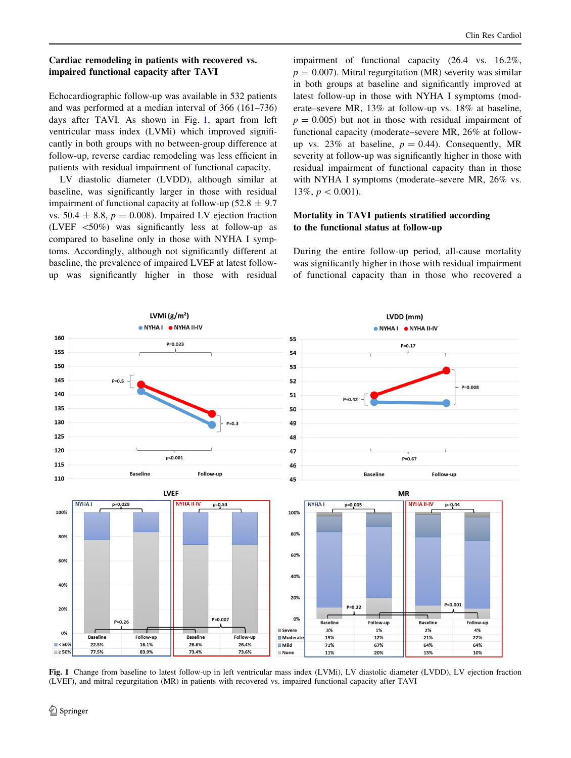## Cardiac remodeling in patients with recovered vs. impaired functional capacity after TAVI

Echocardiographic follow-up was available in 532 patients and was performed at a median interval of 366 (161–736) days after TAVI. As shown in Fig. 1, apart from left ventricular mass index (LVMi) which improved significantly in both groups with no between-group difference at follow-up, reverse cardiac remodeling was less efficient in patients with residual impairment of functional capacity.

LV diastolic diameter (LVDD), although similar at baseline, was significantly larger in those with residual impairment of functional capacity at follow-up (52.8  $\pm$  9.7 vs. 50.4  $\pm$  8.8,  $p = 0.008$ ). Impaired LV ejection fraction (LVEF  $\langle 50\% \rangle$  was significantly less at follow-up as compared to baseline only in those with NYHA I symptoms. Accordingly, although not significantly different at baseline, the prevalence of impaired LVEF at latest followup was significantly higher in those with residual

impairment of functional capacity (26.4 vs. 16.2%,  $p = 0.007$ ). Mitral regurgitation (MR) severity was similar in both groups at baseline and significantly improved at latest follow-up in those with NYHA I symptoms (moderate–severe MR, 13% at follow-up vs. 18% at baseline,  $p = 0.005$ ) but not in those with residual impairment of functional capacity (moderate–severe MR, 26% at followup vs. 23% at baseline,  $p = 0.44$ ). Consequently, MR severity at follow-up was significantly higher in those with residual impairment of functional capacity than in those with NYHA I symptoms (moderate–severe MR, 26% vs. 13\%,  $p < 0.001$ ).

# Mortality in TAVI patients stratified according to the functional status at follow-up

During the entire follow-up period, all-cause mortality was significantly higher in those with residual impairment of functional capacity than in those who recovered a



Fig. 1 Change from baseline to latest follow-up in left ventricular mass index (LVMi), LV diastolic diameter (LVDD), LV ejection fraction (LVEF), and mitral regurgitation (MR) in patients with recovered vs. impaired functional capacity after TAVI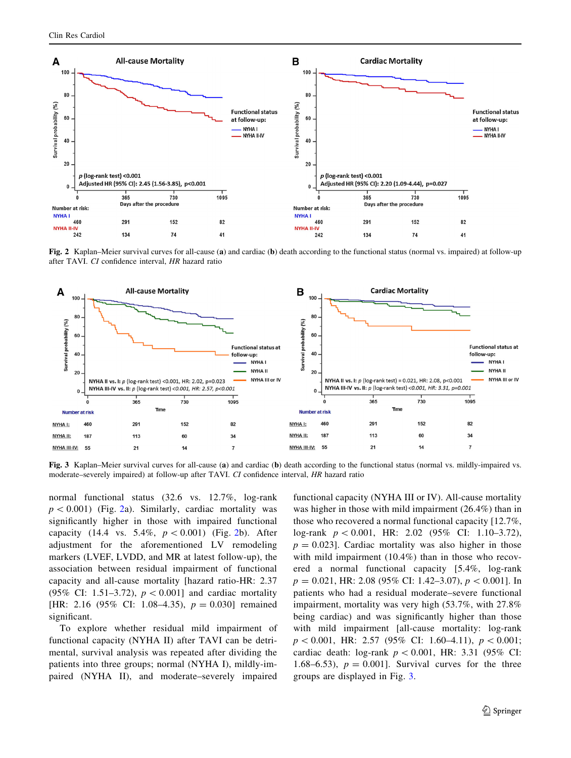

Fig. 2 Kaplan–Meier survival curves for all-cause (a) and cardiac (b) death according to the functional status (normal vs. impaired) at follow-up after TAVI. CI confidence interval, HR hazard ratio



Fig. 3 Kaplan–Meier survival curves for all-cause (a) and cardiac (b) death according to the functional status (normal vs. mildly-impaired vs. moderate–severely impaired) at follow-up after TAVI. CI confidence interval, HR hazard ratio

normal functional status (32.6 vs. 12.7%, log-rank  $p \lt 0.001$ ) (Fig. 2a). Similarly, cardiac mortality was significantly higher in those with impaired functional capacity (14.4 vs. 5.4%,  $p < 0.001$ ) (Fig. 2b). After adjustment for the aforementioned LV remodeling markers (LVEF, LVDD, and MR at latest follow-up), the association between residual impairment of functional capacity and all-cause mortality [hazard ratio-HR: 2.37 (95% CI: 1.51–3.72),  $p < 0.001$  and cardiac mortality [HR: 2.16 (95% CI: 1.08–4.35),  $p = 0.030$ ] remained significant.

To explore whether residual mild impairment of functional capacity (NYHA II) after TAVI can be detrimental, survival analysis was repeated after dividing the patients into three groups; normal (NYHA I), mildly-impaired (NYHA II), and moderate–severely impaired functional capacity (NYHA III or IV). All-cause mortality was higher in those with mild impairment (26.4%) than in those who recovered a normal functional capacity [12.7%, log-rank  $p \, < 0.001$ , HR: 2.02 (95% CI: 1.10–3.72),  $p = 0.023$ . Cardiac mortality was also higher in those with mild impairment (10.4%) than in those who recovered a normal functional capacity [5.4%, log-rank  $p = 0.021$ , HR: 2.08 (95% CI: 1.42–3.07),  $p < 0.001$ . In patients who had a residual moderate–severe functional impairment, mortality was very high (53.7%, with 27.8% being cardiac) and was significantly higher than those with mild impairment [all-cause mortality: log-rank  $p \, < 0.001$ , HR: 2.57 (95% CI: 1.60–4.11),  $p \, < 0.001$ ; cardiac death: log-rank  $p \, < 0.001$ , HR: 3.31 (95% CI: 1.68–6.53),  $p = 0.001$ . Survival curves for the three groups are displayed in Fig. 3.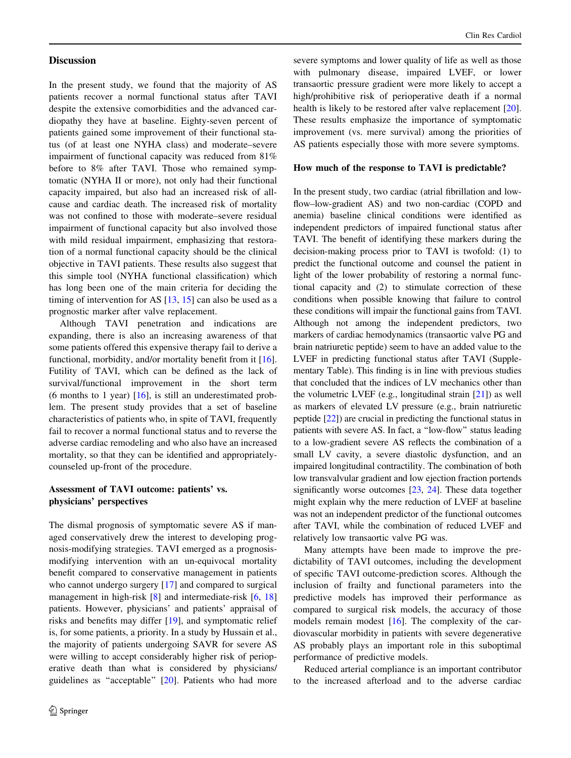#### **Discussion**

In the present study, we found that the majority of AS patients recover a normal functional status after TAVI despite the extensive comorbidities and the advanced cardiopathy they have at baseline. Eighty-seven percent of patients gained some improvement of their functional status (of at least one NYHA class) and moderate–severe impairment of functional capacity was reduced from 81% before to 8% after TAVI. Those who remained symptomatic (NYHA II or more), not only had their functional capacity impaired, but also had an increased risk of allcause and cardiac death. The increased risk of mortality was not confined to those with moderate–severe residual impairment of functional capacity but also involved those with mild residual impairment, emphasizing that restoration of a normal functional capacity should be the clinical objective in TAVI patients. These results also suggest that this simple tool (NYHA functional classification) which has long been one of the main criteria for deciding the timing of intervention for AS [[13,](#page-7-0) [15\]](#page-7-0) can also be used as a prognostic marker after valve replacement.

Although TAVI penetration and indications are expanding, there is also an increasing awareness of that some patients offered this expensive therapy fail to derive a functional, morbidity, and/or mortality benefit from it [\[16](#page-7-0)]. Futility of TAVI, which can be defined as the lack of survival/functional improvement in the short term (6 months to 1 year)  $[16]$  $[16]$ , is still an underestimated problem. The present study provides that a set of baseline characteristics of patients who, in spite of TAVI, frequently fail to recover a normal functional status and to reverse the adverse cardiac remodeling and who also have an increased mortality, so that they can be identified and appropriatelycounseled up-front of the procedure.

## Assessment of TAVI outcome: patients' vs. physicians' perspectives

The dismal prognosis of symptomatic severe AS if managed conservatively drew the interest to developing prognosis-modifying strategies. TAVI emerged as a prognosismodifying intervention with an un-equivocal mortality benefit compared to conservative management in patients who cannot undergo surgery [[17\]](#page-7-0) and compared to surgical management in high-risk [[8\]](#page-7-0) and intermediate-risk [[6,](#page-7-0) [18\]](#page-7-0) patients. However, physicians' and patients' appraisal of risks and benefits may differ [[19](#page-7-0)], and symptomatic relief is, for some patients, a priority. In a study by Hussain et al., the majority of patients undergoing SAVR for severe AS were willing to accept considerably higher risk of perioperative death than what is considered by physicians/ guidelines as ''acceptable'' [\[20](#page-7-0)]. Patients who had more severe symptoms and lower quality of life as well as those with pulmonary disease, impaired LVEF, or lower transaortic pressure gradient were more likely to accept a high/prohibitive risk of perioperative death if a normal health is likely to be restored after valve replacement [\[20](#page-7-0)]. These results emphasize the importance of symptomatic improvement (vs. mere survival) among the priorities of AS patients especially those with more severe symptoms.

#### How much of the response to TAVI is predictable?

In the present study, two cardiac (atrial fibrillation and lowflow–low-gradient AS) and two non-cardiac (COPD and anemia) baseline clinical conditions were identified as independent predictors of impaired functional status after TAVI. The benefit of identifying these markers during the decision-making process prior to TAVI is twofold: (1) to predict the functional outcome and counsel the patient in light of the lower probability of restoring a normal functional capacity and (2) to stimulate correction of these conditions when possible knowing that failure to control these conditions will impair the functional gains from TAVI. Although not among the independent predictors, two markers of cardiac hemodynamics (transaortic valve PG and brain natriuretic peptide) seem to have an added value to the LVEF in predicting functional status after TAVI (Supplementary Table). This finding is in line with previous studies that concluded that the indices of LV mechanics other than the volumetric LVEF (e.g., longitudinal strain [\[21](#page-7-0)]) as well as markers of elevated LV pressure (e.g., brain natriuretic peptide [[22](#page-7-0)]) are crucial in predicting the functional status in patients with severe AS. In fact, a ''low-flow'' status leading to a low-gradient severe AS reflects the combination of a small LV cavity, a severe diastolic dysfunction, and an impaired longitudinal contractility. The combination of both low transvalvular gradient and low ejection fraction portends significantly worse outcomes [[23,](#page-7-0) [24](#page-7-0)]. These data together might explain why the mere reduction of LVEF at baseline was not an independent predictor of the functional outcomes after TAVI, while the combination of reduced LVEF and relatively low transaortic valve PG was.

Many attempts have been made to improve the predictability of TAVI outcomes, including the development of specific TAVI outcome-prediction scores. Although the inclusion of frailty and functional parameters into the predictive models has improved their performance as compared to surgical risk models, the accuracy of those models remain modest [[16\]](#page-7-0). The complexity of the cardiovascular morbidity in patients with severe degenerative AS probably plays an important role in this suboptimal performance of predictive models.

Reduced arterial compliance is an important contributor to the increased afterload and to the adverse cardiac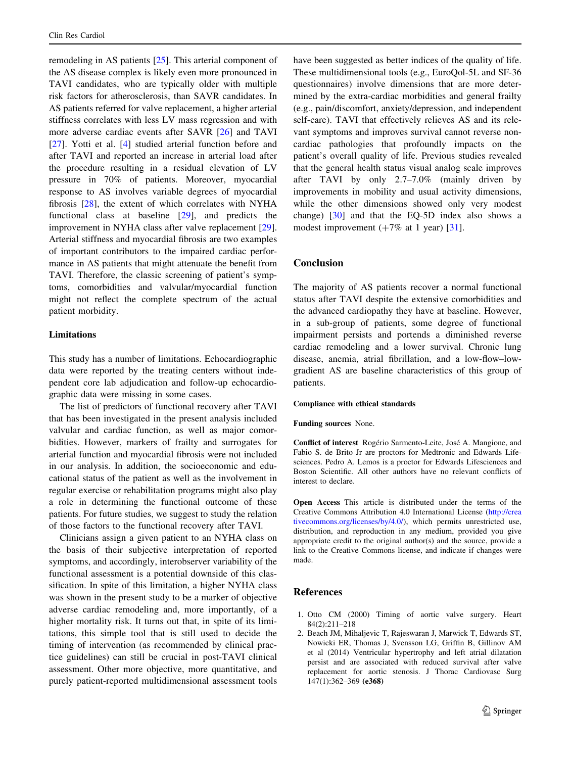<span id="page-6-0"></span>remodeling in AS patients [[25\]](#page-7-0). This arterial component of the AS disease complex is likely even more pronounced in TAVI candidates, who are typically older with multiple risk factors for atherosclerosis, than SAVR candidates. In AS patients referred for valve replacement, a higher arterial stiffness correlates with less LV mass regression and with more adverse cardiac events after SAVR [\[26](#page-7-0)] and TAVI [\[27](#page-7-0)]. Yotti et al. [\[4](#page-7-0)] studied arterial function before and after TAVI and reported an increase in arterial load after the procedure resulting in a residual elevation of LV pressure in 70% of patients. Moreover, myocardial response to AS involves variable degrees of myocardial fibrosis [\[28\]](#page-7-0), the extent of which correlates with NYHA functional class at baseline [\[29](#page-7-0)], and predicts the improvement in NYHA class after valve replacement [\[29](#page-7-0)]. Arterial stiffness and myocardial fibrosis are two examples of important contributors to the impaired cardiac performance in AS patients that might attenuate the benefit from TAVI. Therefore, the classic screening of patient's symptoms, comorbidities and valvular/myocardial function might not reflect the complete spectrum of the actual patient morbidity.

## Limitations

This study has a number of limitations. Echocardiographic data were reported by the treating centers without independent core lab adjudication and follow-up echocardiographic data were missing in some cases.

The list of predictors of functional recovery after TAVI that has been investigated in the present analysis included valvular and cardiac function, as well as major comorbidities. However, markers of frailty and surrogates for arterial function and myocardial fibrosis were not included in our analysis. In addition, the socioeconomic and educational status of the patient as well as the involvement in regular exercise or rehabilitation programs might also play a role in determining the functional outcome of these patients. For future studies, we suggest to study the relation of those factors to the functional recovery after TAVI.

Clinicians assign a given patient to an NYHA class on the basis of their subjective interpretation of reported symptoms, and accordingly, interobserver variability of the functional assessment is a potential downside of this classification. In spite of this limitation, a higher NYHA class was shown in the present study to be a marker of objective adverse cardiac remodeling and, more importantly, of a higher mortality risk. It turns out that, in spite of its limitations, this simple tool that is still used to decide the timing of intervention (as recommended by clinical practice guidelines) can still be crucial in post-TAVI clinical assessment. Other more objective, more quantitative, and purely patient-reported multidimensional assessment tools have been suggested as better indices of the quality of life. These multidimensional tools (e.g., EuroQol-5L and SF-36 questionnaires) involve dimensions that are more determined by the extra-cardiac morbidities and general frailty (e.g., pain/discomfort, anxiety/depression, and independent self-care). TAVI that effectively relieves AS and its relevant symptoms and improves survival cannot reverse noncardiac pathologies that profoundly impacts on the patient's overall quality of life. Previous studies revealed that the general health status visual analog scale improves after TAVI by only 2.7–7.0% (mainly driven by improvements in mobility and usual activity dimensions, while the other dimensions showed only very modest change) [[30\]](#page-7-0) and that the EQ-5D index also shows a modest improvement  $(+7\% \text{ at } 1 \text{ year})$  [[31\]](#page-7-0).

## Conclusion

The majority of AS patients recover a normal functional status after TAVI despite the extensive comorbidities and the advanced cardiopathy they have at baseline. However, in a sub-group of patients, some degree of functional impairment persists and portends a diminished reverse cardiac remodeling and a lower survival. Chronic lung disease, anemia, atrial fibrillation, and a low-flow–lowgradient AS are baseline characteristics of this group of patients.

#### Compliance with ethical standards

#### Funding sources None.

Conflict of interest Rogério Sarmento-Leite, José A. Mangione, and Fabio S. de Brito Jr are proctors for Medtronic and Edwards Lifesciences. Pedro A. Lemos is a proctor for Edwards Lifesciences and Boston Scientific. All other authors have no relevant conflicts of interest to declare.

Open Access This article is distributed under the terms of the Creative Commons Attribution 4.0 International License ([http://crea](http://creativecommons.org/licenses/by/4.0/) [tivecommons.org/licenses/by/4.0/\)](http://creativecommons.org/licenses/by/4.0/), which permits unrestricted use, distribution, and reproduction in any medium, provided you give appropriate credit to the original author(s) and the source, provide a link to the Creative Commons license, and indicate if changes were made.

#### References

- 1. Otto CM (2000) Timing of aortic valve surgery. Heart 84(2):211–218
- 2. Beach JM, Mihaljevic T, Rajeswaran J, Marwick T, Edwards ST, Nowicki ER, Thomas J, Svensson LG, Griffin B, Gillinov AM et al (2014) Ventricular hypertrophy and left atrial dilatation persist and are associated with reduced survival after valve replacement for aortic stenosis. J Thorac Cardiovasc Surg 147(1):362–369 (e368)